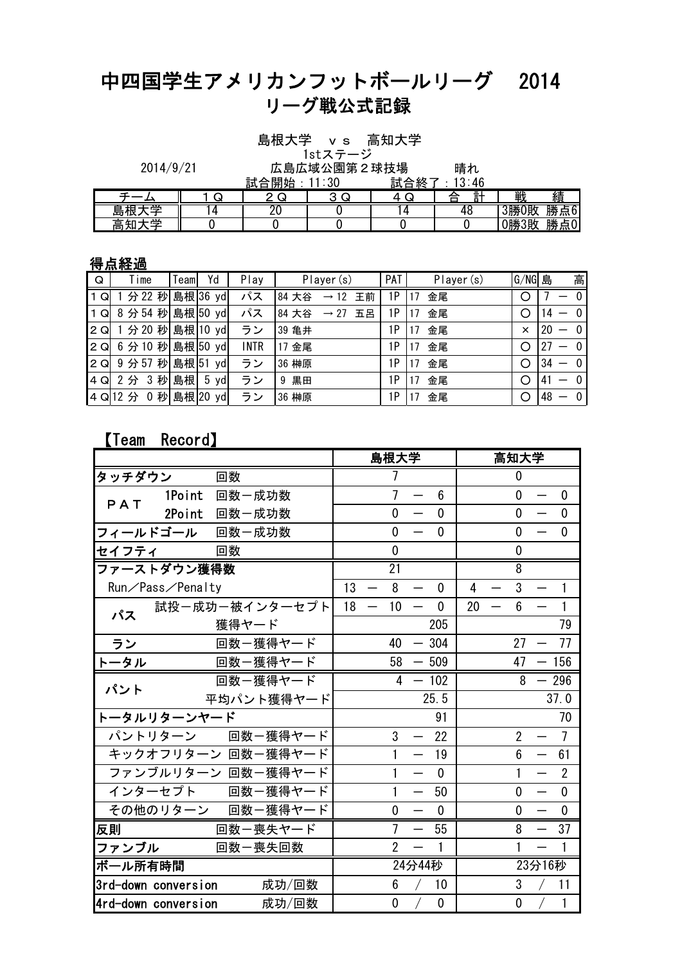## 中四国学生アメリカンフットボールリーグ 2014 リーグ戦公式記録

島根大学 vs 高知大学

1stステージ

| 2014/9/21 | 広島広域公園第2球技場    | 晴れ |
|-----------|----------------|----|
|           | ≒ᡱ△囲↓↓ . 11・ウ∩ |    |

|               |   | - -<br>開<br>≣ਜਾ | vv | - -<br>終<br>鼠<br>∼<br>ŋ | $\ddot{\phantom{1}}$<br>ーし |          |              |
|---------------|---|-----------------|----|-------------------------|----------------------------|----------|--------------|
|               |   |                 |    |                         | ı<br>Ξ.<br>$\rightarrow$   | ⊪<br>ᆪ   | 績            |
| =             | 4 |                 |    |                         | тν                         | 3勝<br>0敗 | 61<br>勝<br>点 |
| $\cdots$<br>— |   |                 |    |                         |                            | 0勝3敗     | 勝<br>点0      |

## 得点経過

| Q   | Time              | Teaml | Yd           | Play        | Player (s)                      | PAT | Player (s) | $G/NG$ 島 | 高                                              |
|-----|-------------------|-------|--------------|-------------|---------------------------------|-----|------------|----------|------------------------------------------------|
| Q   | 分 22 秒            |       | 島根 36 yd     | パス          | 84 大谷<br>王前<br>$\rightarrow$ 12 | 1P  | 金尾         | O        | $\mathbf{0}$                                   |
| 1 Q | 8 分 54 秒 島根 50 yd |       |              | パス          | 84 大谷<br>$\rightarrow$ 27<br>五呂 | 1Р  | 金尾         |          | $\mathbf{0}$<br>14                             |
| 2Q  | 1 分 20 秒 島根 10 yd |       |              | ラン          | 39 亀井                           | 1Р  | 金尾         | $\times$ | $\mathbf{0}$<br>20<br>$\overline{\phantom{0}}$ |
| 2Q  | 6 分 10 秒 島根 50 yd |       |              | <b>INTR</b> | 金尾<br>17                        | 1Р  | 金尾<br>7    |          | $\mathbf{0}$<br>27<br>$\overline{\phantom{0}}$ |
| 2Q  | 9分57秒             | 島根 51 | yd           | ラン          | 36 榊原                           | 1Р  | 金尾         | ∩        | 34<br>$\mathbf{0}$<br>—                        |
| 4Q  | 2分 3秒             | 島根    | 5 yd         | ラン          | 黒田<br>9                         | 1Р  | 金尾         | $\circ$  | $\mathbf{0}$<br>41                             |
|     | 4 Q 12 分          |       | 0 秒 島根 20 yd | ラン          | 36 榊原                           | 1Р  | 金尾         | Ω        | 48<br>$\mathbf{0}$<br>—                        |

## 【Team Record】

|                     |        |                    |    | 島根大学           |                                  |              |    | 高知大学           |        |                |
|---------------------|--------|--------------------|----|----------------|----------------------------------|--------------|----|----------------|--------|----------------|
| タッチダウン              |        | 回数                 |    | 7              |                                  |              |    | 0              |        |                |
| PAT                 | 1Point | 回数一成功数             |    | $\overline{1}$ | $\overline{\phantom{0}}$         | 6            |    | $\mathbf 0$    |        | 0              |
|                     | 2Point | 回数一成功数             |    | $\mathbf{0}$   |                                  | $\mathbf{0}$ |    | $\mathbf{0}$   |        | $\mathbf{0}$   |
|                     |        | フィールドゴール 回数一成功数    |    | 0              |                                  | $\mathbf{0}$ |    | 0              |        | $\mathbf 0$    |
| セイフティ               |        | 回数                 |    | $\mathbf 0$    |                                  |              |    | 0              |        |                |
| ファーストダウン獲得数         |        |                    |    | 21             |                                  |              |    | 8              |        |                |
| Run/Pass/Penalty    |        |                    | 13 | 8              |                                  | $\mathbf 0$  | 4  | 3              |        | 1              |
| パス                  |        | 試投ー成功ー被インターセプト     | 18 | 10             |                                  | $\mathbf 0$  | 20 | 6              |        | 1              |
|                     |        | 獲得ヤード              |    |                |                                  | 205          |    |                |        | 79             |
| ラン                  |        | 回数ー獲得ヤード           |    | 40             |                                  | $-304$       |    | 27             |        | 77             |
| トータル                |        | 回数ー獲得ヤード           |    | 58             | $-509$                           |              |    | 47             |        | 156            |
| パント                 |        | 回数ー獲得ヤード           |    | 4              | $-102$                           |              |    | 8              |        | 296            |
|                     |        | 平均パント獲得ヤード         |    |                |                                  | 25.5         |    |                |        | 37.0           |
| トータルリターンヤード         |        |                    |    |                |                                  | 91           |    |                |        | 70             |
|                     |        | パントリターン 回数一獲得ヤード   |    | 3              | $\qquad \qquad -$                | 22           |    | $\overline{2}$ |        | $\overline{7}$ |
|                     |        | キックオフリターン 回数一獲得ヤード |    | 1              | $\overline{\phantom{0}}$         | 19           |    | 6              |        | 61             |
|                     |        | ファンブルリターン 回数一獲得ヤード |    | 1              |                                  | $\mathbf{0}$ |    |                |        | $\overline{2}$ |
|                     |        | インターセプト 回数一獲得ヤード   |    | 1              |                                  | 50           |    | 0              |        | $\mathbf 0$    |
|                     |        | その他のリターン 回数一獲得ヤード  |    | $\mathbf 0$    | $\overbrace{\phantom{12322111}}$ | $\mathbf{0}$ |    | 0              |        | $\mathbf 0$    |
| 反則                  |        | 回数一喪失ヤード           |    | $\overline{7}$ | $\overline{\phantom{m}}$         | 55           |    | 8              |        | 37             |
| ファンブル               |        | 回数一喪失回数            |    | $\overline{2}$ |                                  | 1            |    |                |        |                |
| ボール所有時間             |        |                    |    |                | 24分44秒                           |              |    |                | 23分16秒 |                |
| 3rd-down conversion |        | 成功/回数              |    | 6              |                                  | 10           |    | 3              |        | 11             |
| 4rd-down conversion |        | 成功/回数              |    | 0              |                                  | $\mathbf{0}$ |    | $\mathbf 0$    |        | 1              |